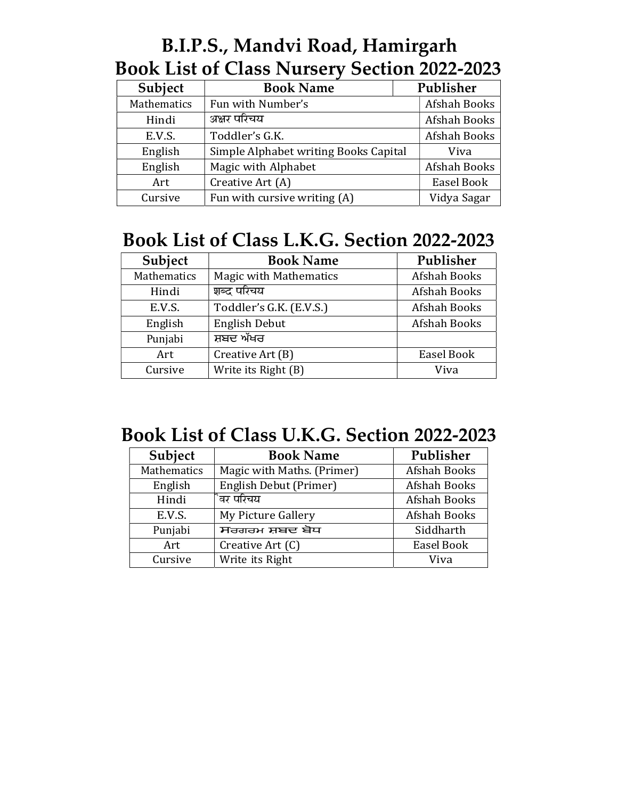#### B.I.P.S., Mandvi Road, Hamirgarh Book List of Class Nursery Section 2022-2023

| Subject     | <b>Book Name</b>                      |  | Publisher    |  |
|-------------|---------------------------------------|--|--------------|--|
| Mathematics | Fun with Number's                     |  | Afshah Books |  |
| Hindi       | अक्षर परिचय                           |  | Afshah Books |  |
| E.V.S.      | Toddler's G.K.                        |  | Afshah Books |  |
| English     | Simple Alphabet writing Books Capital |  | Viva         |  |
| English     | Magic with Alphabet                   |  | Afshah Books |  |
| Art         | Creative Art (A)                      |  | Easel Book   |  |
| Cursive     | Fun with cursive writing (A)          |  | Vidya Sagar  |  |

### Book List of Class L.K.G. Section 2022-2023

| English<br>Magic with Alphabet<br>Afshah Books<br>Easel Book<br>Creative Art (A)<br>Art<br>Fun with cursive writing (A)<br>Vidya Sagar<br>Cursive<br><b>Book List of Class L.K.G. Section 2022-2023</b><br>Publisher<br>Subject<br><b>Book Name</b> |
|-----------------------------------------------------------------------------------------------------------------------------------------------------------------------------------------------------------------------------------------------------|
|                                                                                                                                                                                                                                                     |
|                                                                                                                                                                                                                                                     |
|                                                                                                                                                                                                                                                     |
|                                                                                                                                                                                                                                                     |
|                                                                                                                                                                                                                                                     |
|                                                                                                                                                                                                                                                     |
| Mathematics<br>Afshah Books<br><b>Magic with Mathematics</b>                                                                                                                                                                                        |
| शब्द परिचय<br>Afshah Books<br>Hindi                                                                                                                                                                                                                 |
| Afshah Books<br>E.V.S.<br>Toddler's G.K. (E.V.S.)                                                                                                                                                                                                   |
| <b>English Debut</b><br>Afshah Books<br>English                                                                                                                                                                                                     |
| ਸ਼ਬਦ ਅੱਖਰ<br>Punjabi                                                                                                                                                                                                                                |
| Easel Book<br>Art<br>Creative Art (B)                                                                                                                                                                                                               |
| Write its Right (B)<br>Cursive<br>Viva                                                                                                                                                                                                              |

#### Book List of Class U.K.G. Section 2022-2023

| Subject     | <b>Book Name</b>           | Publisher    |
|-------------|----------------------------|--------------|
| Mathematics | Magic with Maths. (Primer) | Afshah Books |
| English     | English Debut (Primer)     | Afshah Books |
| Hindi       | ैवर परिचय                  | Afshah Books |
| E.V.S.      | My Picture Gallery         | Afshah Books |
| Punjabi     | ਸਰਗਰਮ ਸ਼ਬਦ ਬੋਧ             | Siddharth    |
| Art         | Creative Art (C)           | Easel Book   |
| Cursive     | Write its Right            | Viva         |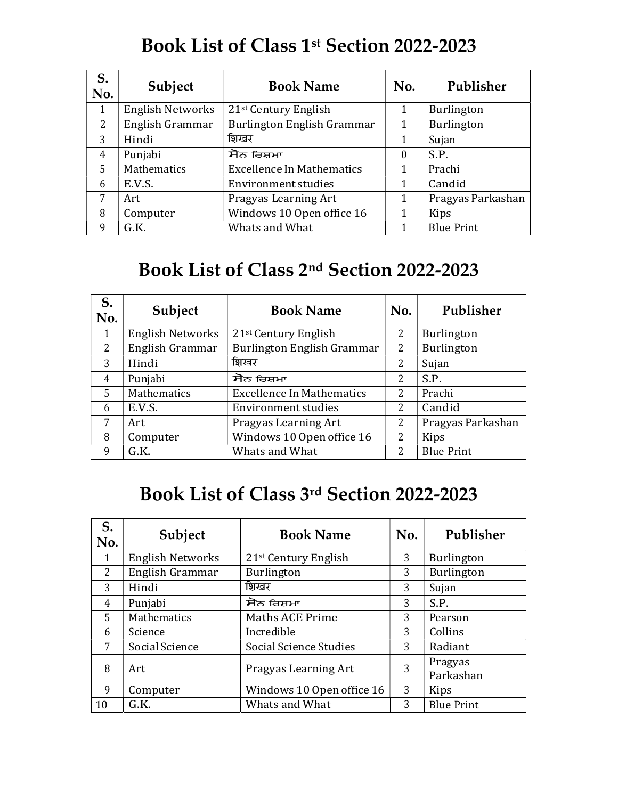### Book List of Class 1st Section 2022-2023

| S.<br>No.    | Subject                 | <b>Book Name</b>                 | No.              | Publisher         |
|--------------|-------------------------|----------------------------------|------------------|-------------------|
|              | <b>English Networks</b> | 21 <sup>st</sup> Century English |                  | <b>Burlington</b> |
| 2            | English Grammar         | Burlington English Grammar       |                  | Burlington        |
| 3            | Hindi                   | शिखर                             |                  | Sujan             |
| 4            | Punjabi                 | ਸੋਨ ਰਿਸ਼ਮਾ                       | $\boldsymbol{0}$ | S.P.              |
| 5            | Mathematics             | <b>Excellence In Mathematics</b> |                  | Prachi            |
| <sub>b</sub> | E.V.S.                  | <b>Environment studies</b>       |                  | Candid            |
|              | Art                     | Pragyas Learning Art             |                  | Pragyas Parkashan |
| 8            | Computer                | Windows 10 Open office 16        |                  | Kips              |
| 9            | G.K.                    | Whats and What                   |                  | <b>Blue Print</b> |

#### Book List of Class 2nd Section 2022-2023

| S.<br>No.      | Subject                 | <b>Book Name</b>                 | No.            | Publisher         |
|----------------|-------------------------|----------------------------------|----------------|-------------------|
|                | <b>English Networks</b> | 21 <sup>st</sup> Century English | $\overline{2}$ | <b>Burlington</b> |
| $\overline{2}$ | English Grammar         | Burlington English Grammar       | $\overline{2}$ | Burlington        |
| 3              | Hindi                   | शिखर                             | 2              | Sujan             |
| 4              | Punjabi                 | ਸੋਨ ਰਿਸ਼ਮਾ                       | っ              | S.P.              |
| 5              | Mathematics             | <b>Excellence In Mathematics</b> | 2              | Prachi            |
| 6              | E.V.S.                  | <b>Environment studies</b>       | 2              | Candid            |
|                | Art                     | Pragyas Learning Art             | $\overline{2}$ | Pragyas Parkashan |
| 8              | Computer                | Windows 10 Open office 16        | 2              | Kips              |
| q              | G.K.                    | Whats and What                   | 2              | <b>Blue Print</b> |

#### Book List of Class 3rd Section 2022-2023

| S.<br>No. | Subject                 | <b>Book Name</b>                 | No. | Publisher            |
|-----------|-------------------------|----------------------------------|-----|----------------------|
| 1         | <b>English Networks</b> | 21 <sup>st</sup> Century English | 3   | Burlington           |
| 2         | English Grammar         | Burlington                       | 3   | Burlington           |
| 3         | Hindi                   | शिखर                             | 3   | Sujan                |
| 4         | Punjabi                 | ਸੋਨ ਰਿਸ਼ਮਾ                       | 3   | S.P.                 |
| 5         | <b>Mathematics</b>      | <b>Maths ACE Prime</b>           | 3   | Pearson              |
| 6         | Science                 | Incredible                       | 3   | Collins              |
| 7         | Social Science          | Social Science Studies           | 3   | Radiant              |
| 8         | Art                     | Pragyas Learning Art             | 3   | Pragyas<br>Parkashan |
| 9         | Computer                | Windows 10 Open office 16        | 3   | <b>Kips</b>          |
| 10        | G.K.                    | Whats and What                   | 3   | <b>Blue Print</b>    |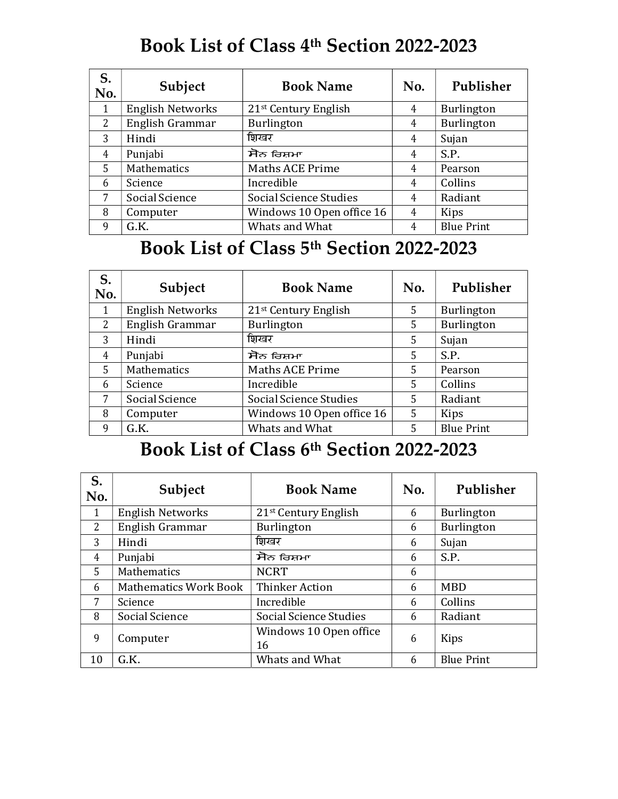# Book List of Class 4th Section 2022-2023

| S.<br>No. | Subject                 | <b>Book Name</b>                 | No. | Publisher         |
|-----------|-------------------------|----------------------------------|-----|-------------------|
|           | <b>English Networks</b> | 21 <sup>st</sup> Century English | 4   | Burlington        |
| 2         | English Grammar         | <b>Burlington</b>                | 4   | Burlington        |
| 3         | Hindi                   | शिखर                             | 4   | Sujan             |
| 4         | Punjabi                 | ਸੋਨ ਰਿਸ਼ਮਾ                       | 4   | S.P.              |
| 5         | Mathematics             | <b>Maths ACE Prime</b>           | 4   | Pearson           |
| 6         | Science                 | Incredible                       | 4   | Collins           |
| 7         | Social Science          | Social Science Studies           | 4   | Radiant           |
| 8         | Computer                | Windows 10 Open office 16        | 4   | Kips              |
| 9         | G.K.                    | Whats and What                   | 4   | <b>Blue Print</b> |

### Book List of Class 5th Section 2022-2023

| S.<br>No.      | Subject                 | <b>Book Name</b>                 | No. | Publisher         |
|----------------|-------------------------|----------------------------------|-----|-------------------|
|                | <b>English Networks</b> | 21 <sup>st</sup> Century English | 5   | Burlington        |
| 2              | English Grammar         | <b>Burlington</b>                | 5.  | Burlington        |
| 3              | Hindi                   | शिखर                             | 5   | Sujan             |
| $\overline{4}$ | Punjabi                 | ਸੋਨ ਰਿਸ਼ਮਾ                       | 5   | S.P.              |
| 5              | Mathematics             | <b>Maths ACE Prime</b>           | 5   | Pearson           |
| 6              | Science                 | Incredible                       | 5   | Collins           |
| 7              | Social Science          | Social Science Studies           | 5   | Radiant           |
| 8              | Computer                | Windows 10 Open office 16        | 5   | Kips              |
| 9              | G.K.                    | Whats and What                   | 5   | <b>Blue Print</b> |

### Book List of Class 6th Section 2022-2023

| S.<br>No. | Subject                      | <b>Book Name</b>                 | No. | Publisher         |
|-----------|------------------------------|----------------------------------|-----|-------------------|
|           | <b>English Networks</b>      | 21 <sup>st</sup> Century English | 6   | Burlington        |
| 2         | English Grammar              | Burlington                       | 6   | Burlington        |
| 3         | Hindi                        | शिखर                             | 6   | Sujan             |
| 4         | Punjabi                      | ਸੋਨ ਰਿਸ਼ਮਾ                       | 6   | S.P.              |
| 5         | Mathematics                  | <b>NCRT</b>                      | 6   |                   |
| 6         | <b>Mathematics Work Book</b> | <b>Thinker Action</b>            | 6   | <b>MBD</b>        |
| 7         | Science                      | Incredible                       | 6   | Collins           |
| 8         | Social Science               | Social Science Studies           | 6   | Radiant           |
| 9         | Computer                     | Windows 10 Open office<br>16     | 6   | Kips              |
| 10        | G.K.                         | Whats and What                   | 6   | <b>Blue Print</b> |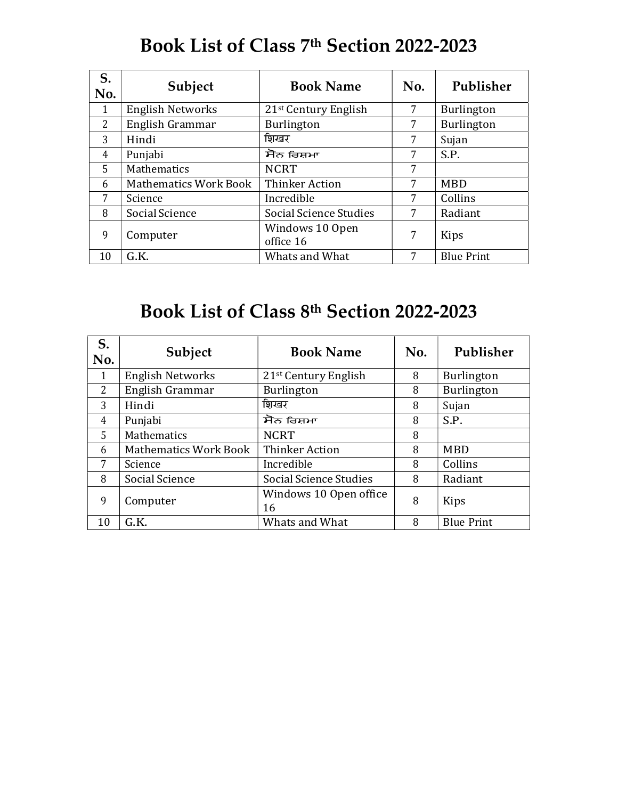# Book List of Class 7th Section 2022-2023

| S.<br>No.      | Subject                 | <b>Book Name</b>                   | No. | Publisher         |
|----------------|-------------------------|------------------------------------|-----|-------------------|
|                | <b>English Networks</b> | $21$ <sup>st</sup> Century English |     | Burlington        |
| $\overline{2}$ | English Grammar         | Burlington                         | 7   | Burlington        |
| 3              | Hindi                   | शिखर                               | 7   | Sujan             |
| 4              | Punjabi                 | ਸੋਨ ਰਿਸ਼ਮਾ                         | 7   | S.P.              |
| 5              | Mathematics             | <b>NCRT</b>                        | 7   |                   |
| 6              | Mathematics Work Book   | <b>Thinker Action</b>              |     | <b>MBD</b>        |
| 7              | Science                 | Incredible                         |     | Collins           |
| 8              | Social Science          | Social Science Studies             | 7   | Radiant           |
| 9              | Computer                | Windows 10 Open<br>office 16       | 7   | Kips              |
| 10             | G.K.                    | Whats and What                     |     | <b>Blue Print</b> |

# Book List of Class 8th Section 2022-2023

| S.<br>No.      | Subject                      | <b>Book Name</b>                   | No. | Publisher         |
|----------------|------------------------------|------------------------------------|-----|-------------------|
|                | <b>English Networks</b>      | $21$ <sup>st</sup> Century English | 8   | Burlington        |
| $\overline{2}$ | English Grammar              | Burlington                         | 8   | Burlington        |
| 3              | Hindi                        | शिखर                               | 8   | Sujan             |
| 4              | Punjabi                      | ਸੋਨ ਰਿਸ਼ਮਾ                         | 8   | S.P.              |
| 5              | Mathematics                  | <b>NCRT</b>                        | 8   |                   |
| 6              | <b>Mathematics Work Book</b> | <b>Thinker Action</b>              | 8   | <b>MBD</b>        |
| 7              | Science                      | Incredible                         | 8   | Collins           |
| 8              | Social Science               | Social Science Studies             | 8   | Radiant           |
| 9              | Computer                     | Windows 10 Open office<br>16       | 8   | Kips              |
| 10             | G.K.                         | Whats and What                     | 8   | <b>Blue Print</b> |